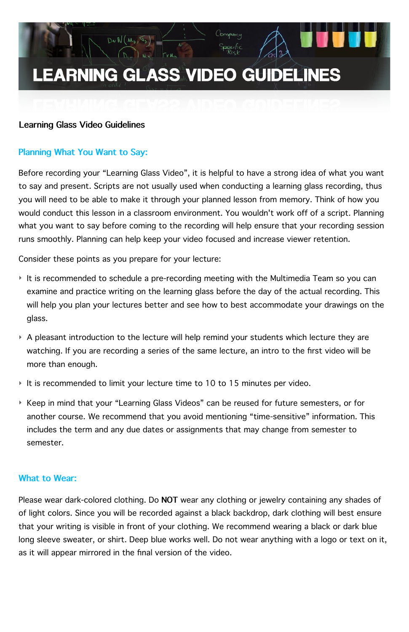# **LEARNING GLASS VIDEO GUIDELINES**

Company

Before recording your "Learning Glass Video", it is helpful to have a strong idea of what you want to say and present. Scripts are not usually used when conducting a learning glass recording, thus you will need to be able to make it through your planned lesson from memory. Think of how you would conduct this lesson in a classroom environment. You wouldn't work off of a script. Planning what you want to say before coming to the recording will help ensure that your recording session runs smoothly. Planning can help keep your video focused and increase viewer retention.

Consider these points as you prepare for your lecture:

 $D\nu N(\mu_{\nu}, \mathcal{F}_{\nu})$ 

- ‣ It is recommended to schedule a pre-recording meeting with the Multimedia Team so you can examine and practice writing on the learning glass before the day of the actual recording. This will help you plan your lectures better and see how to best accommodate your drawings on the glass.
- ‣ A pleasant introduction to the lecture will help remind your students which lecture they are watching. If you are recording a series of the same lecture, an intro to the first video will be more than enough.
- ‣ It is recommended to limit your lecture time to 10 to 15 minutes per video.
- ‣ Keep in mind that your "Learning Glass Videos" can be reused for future semesters, or for another course. We recommend that you avoid mentioning "time-sensitive" information. This includes the term and any due dates or assignments that may change from semester to semester.

## **Learning Glass Video Guidelines**

## **Planning What You Want to Say:**

Please wear dark-colored clothing. Do **NOT** wear any clothing or jewelry containing any shades of of light colors. Since you will be recorded against a black backdrop, dark clothing will best ensure that your writing is visible in front of your clothing. We recommend wearing a black or dark blue long sleeve sweater, or shirt. Deep blue works well. Do not wear anything with a logo or text on it, as it will appear mirrored in the final version of the video.

#### **What to Wear:**